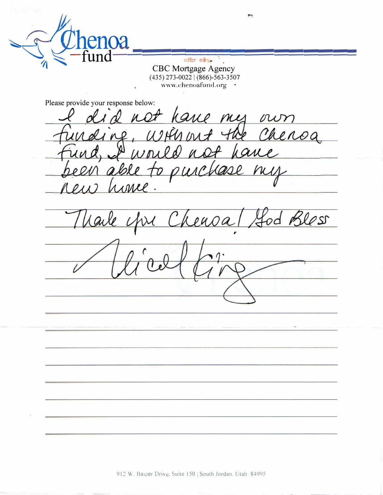$\mathbf{A}$ 

offer edy-**CBC** Mortgage Agency  $(435)$  273-0022 |  $(866)$ -563-3507 www.chenoafund.org \*

Please provide your response below:

l not have my own<br>I, Whis out the Chenoa Ing, WHY out to pure lase  $\mathcal{O}$ honee  $0111$ 

 $\ell$ ess  $OMOQ$ ar  $\sqrt{ }$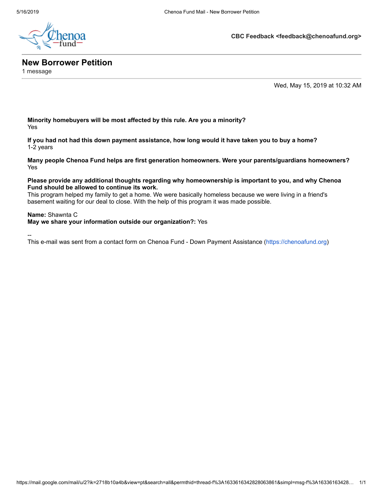

**CBC Feedback <feedback@chenoafund.org>**

## **New Borrower Petition**

1 message

Wed, May 15, 2019 at 10:32 AM

**Minority homebuyers will be most affected by this rule. Are you a minority?** Yes

**If you had not had this down payment assistance, how long would it have taken you to buy a home?** 1-2 years

**Many people Chenoa Fund helps are first generation homeowners. Were your parents/guardians homeowners?** Yes

## **Please provide any additional thoughts regarding why homeownership is important to you, and why Chenoa Fund should be allowed to continue its work.**

This program helped my family to get a home. We were basically homeless because we were living in a friend's basement waiting for our deal to close. With the help of this program it was made possible.

## **Name:** Shawnta C

**May we share your information outside our organization?:** Yes

--

This e-mail was sent from a contact form on Chenoa Fund - Down Payment Assistance [\(https://chenoafund.org\)](https://chenoafund.org/)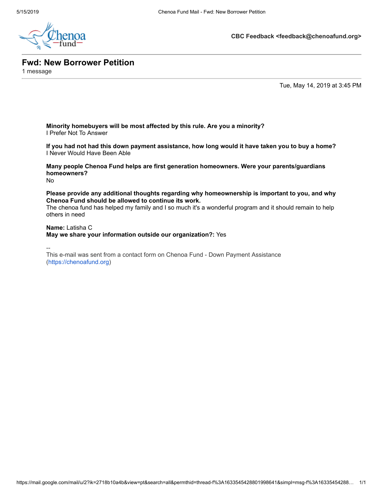

**CBC Feedback <feedback@chenoafund.org>**

**Fwd: New Borrower Petition**

1 message

Tue, May 14, 2019 at 3:45 PM

**Minority homebuyers will be most affected by this rule. Are you a minority?** I Prefer Not To Answer

**If you had not had this down payment assistance, how long would it have taken you to buy a home?** I Never Would Have Been Able

**Many people Chenoa Fund helps are first generation homeowners. Were your parents/guardians homeowners?**

No

**Please provide any additional thoughts regarding why homeownership is important to you, and why Chenoa Fund should be allowed to continue its work.**

The chenoa fund has helped my family and I so much it's a wonderful program and it should remain to help others in need

**Name:** Latisha C

**May we share your information outside our organization?:** Yes

--

This e-mail was sent from a contact form on Chenoa Fund - Down Payment Assistance [\(https://chenoafund.org](https://chenoafund.org/))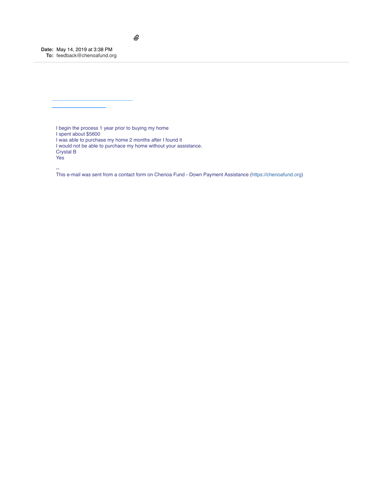**Date:** May 14, 2019 at 3:38 PM **To:** [feedback@chenoafund.org](mailto:feedback@chenoafund.org)

I begin the process 1 year prior to buying my home I spent about \$5600 I was able to purchase my home 2 months after I found it I would not be able to purchace my home without your assistance. Crystal B Yes

 $^\mathscr{Q}$ 

--

This e-mail was sent from a contact form on Chenoa Fund - Down Payment Assistance ([https://chenoafund.org](https://chenoafund.org/))